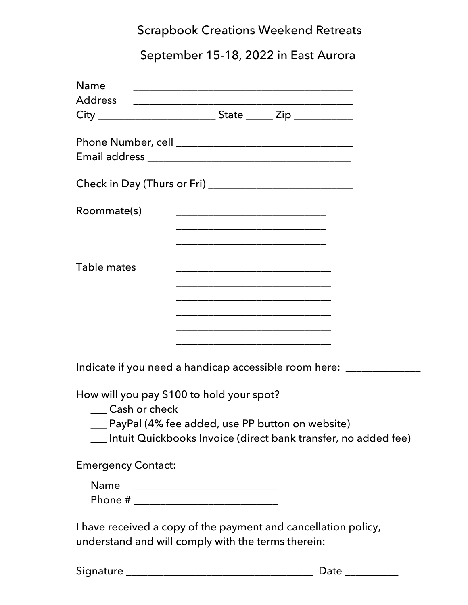## Scrapbook Creations Weekend Retreats

# September 15-18, 2022 in East Aurora

| <b>Name</b>                                                           |                                                                                                                      |  |
|-----------------------------------------------------------------------|----------------------------------------------------------------------------------------------------------------------|--|
|                                                                       |                                                                                                                      |  |
|                                                                       |                                                                                                                      |  |
|                                                                       |                                                                                                                      |  |
|                                                                       |                                                                                                                      |  |
|                                                                       |                                                                                                                      |  |
| Roommate(s)                                                           |                                                                                                                      |  |
|                                                                       | <u> 1980 - Johann Barn, mars eta bat eta bat erroman erroman erroman ez erroman ez erroman ez erroman ez ez ez e</u> |  |
| Table mates                                                           |                                                                                                                      |  |
|                                                                       |                                                                                                                      |  |
|                                                                       |                                                                                                                      |  |
|                                                                       | <u> 2000 - Jan James James Jan James James James James James James James James James James James James James Jam</u> |  |
|                                                                       | <u> 1980 - Johann Barbara, martxa al III-lea (h. 1980).</u>                                                          |  |
| Indicate if you need a handicap accessible room here: _______________ |                                                                                                                      |  |

How will you pay \$100 to hold your spot?

- \_\_\_ Cash or check
- \_\_\_ PayPal (4% fee added, use PP button on website)
- \_\_\_ Intuit Quickbooks Invoice (direct bank transfer, no added fee)

Emergency Contact:

| <b>Name</b> |  |
|-------------|--|
| Phone #     |  |

I have received a copy of the payment and cancellation policy, understand and will comply with the terms therein:

|  |  | Signature |  |  |  |
|--|--|-----------|--|--|--|
|  |  |           |  |  |  |

Signature \_\_\_\_\_\_\_\_\_\_\_\_\_\_\_\_\_\_\_\_\_\_\_\_\_\_\_\_\_\_\_\_\_\_\_ Date \_\_\_\_\_\_\_\_\_\_